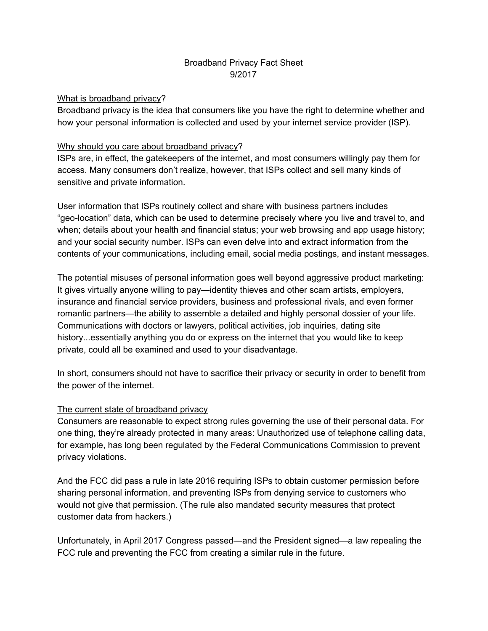# Broadband Privacy Fact Sheet 9/2017

#### What is broadband privacy?

Broadband privacy is the idea that consumers like you have the right to determine whether and how your personal information is collected and used by your internet service provider (ISP).

## Why should you care about broadband privacy?

ISPs are, in effect, the gatekeepers of the internet, and most consumers willingly pay them for access. Many consumers don't realize, however, that ISPs collect and sell many kinds of sensitive and private information.

User information that ISPs routinely collect and share with business partners includes "geo-location" data, which can be used to determine precisely where you live and travel to, and when; details about your health and financial status; your web browsing and app usage history; and your social security number. ISPs can even delve into and extract information from the contents of your communications, including email, social media postings, and instant messages.

The potential misuses of personal information goes well beyond aggressive product marketing: It gives virtually anyone willing to pay—identity thieves and other scam artists, employers, insurance and financial service providers, business and professional rivals, and even former romantic partners—the ability to assemble a detailed and highly personal dossier of your life. Communications with doctors or lawyers, political activities, job inquiries, dating site history...essentially anything you do or express on the internet that you would like to keep private, could all be examined and used to your disadvantage.

In short, consumers should not have to sacrifice their privacy or security in order to benefit from the power of the internet.

#### The current state of broadband privacy

Consumers are reasonable to expect strong rules governing the use of their personal data. For one thing, they're already protected in many areas: Unauthorized use of telephone calling data, for example, has long been regulated by the Federal Communications Commission to prevent privacy violations.

And the FCC did pass a rule in late 2016 requiring ISPs to obtain customer permission before sharing personal information, and preventing ISPs from denying service to customers who would not give that permission. (The rule also mandated security measures that protect customer data from hackers.)

Unfortunately, in April 2017 Congress passed—and the President signed—a law repealing the FCC rule and preventing the FCC from creating a similar rule in the future.